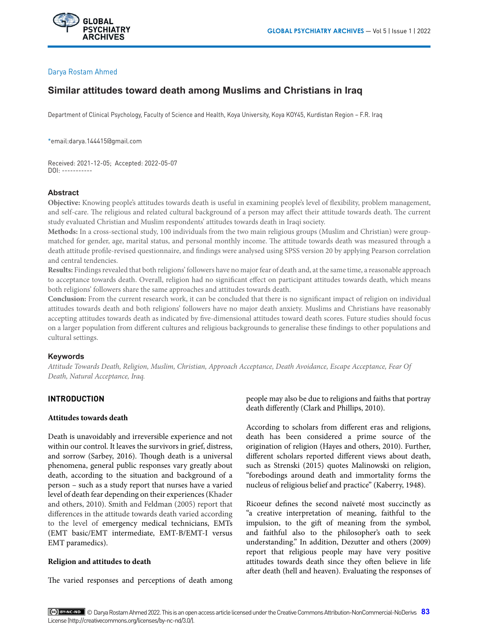# Darya Rostam Ahmed

# **Similar attitudes toward death among Muslims and Christians in Iraq**

Department of Clinical Psychology, Faculty of Science and Health, Koya University, Koya KOY45, Kurdistan Region – F.R. Iraq

\*email:darya.144415@gmail.com

Received: 2021-12-05; Accepted: 2022-05-07 DOI: -----------

## **Abstract**

**Objective:** Knowing people's attitudes towards death is useful in examining people's level of flexibility, problem management, and self-care. The religious and related cultural background of a person may affect their attitude towards death. The current study evaluated Christian and Muslim respondents' attitudes towards death in Iraqi society.

**Methods:** In a cross-sectional study, 100 individuals from the two main religious groups (Muslim and Christian) were groupmatched for gender, age, marital status, and personal monthly income. The attitude towards death was measured through a death attitude profile-revised questionnaire, and findings were analysed using SPSS version 20 by applying Pearson correlation and central tendencies.

**Results:** Findings revealed that both religions' followers have no major fear of death and, at the same time, a reasonable approach to acceptance towards death. Overall, religion had no significant effect on participant attitudes towards death, which means both religions' followers share the same approaches and attitudes towards death.

**Conclusion:** From the current research work, it can be concluded that there is no significant impact of religion on individual attitudes towards death and both religions' followers have no major death anxiety. Muslims and Christians have reasonably accepting attitudes towards death as indicated by five-dimensional attitudes toward death scores. Future studies should focus on a larger population from different cultures and religious backgrounds to generalise these findings to other populations and cultural settings.

# **Keywords**

*Attitude Towards Death, Religion, Muslim, Christian, Approach Acceptance, Death Avoidance, Escape Acceptance, Fear Of Death, Natural Acceptance, Iraq.*

# **INTRODUCTION**

#### **Attitudes towards death**

Death is unavoidably and irreversible experience and not within our control. It leaves the survivors in grief, distress, and sorrow (Sarbey, 2016). Though death is a universal phenomena, general public responses vary greatly about death, according to the situation and background of a person – such as a study report that nurses have a varied level of death fear depending on their experiences (Khader and others, 2010). Smith and Feldman (2005) report that differences in the attitude towards death varied according to the level of emergency medical technicians, EMTs (EMT basic/EMT intermediate, EMT-B/EMT-I versus EMT paramedics).

# **Religion and attitudes to death**

The varied responses and perceptions of death among

people may also be due to religions and faiths that portray death differently (Clark and Phillips, 2010).

According to scholars from different eras and religions, death has been considered a prime source of the origination of religion (Hayes and others, 2010). Further, different scholars reported different views about death, such as Strenski (2015) quotes Malinowski on religion, "forebodings around death and immortality forms the nucleus of religious belief and practice" (Kaberry, 1948).

Ricoeur defines the second naïveté most succinctly as "a creative interpretation of meaning, faithful to the impulsion, to the gift of meaning from the symbol, and faithful also to the philosopher's oath to seek understanding." In addition, Dezutter and others (2009) report that religious people may have very positive attitudes towards death since they often believe in life after death (hell and heaven). Evaluating the responses of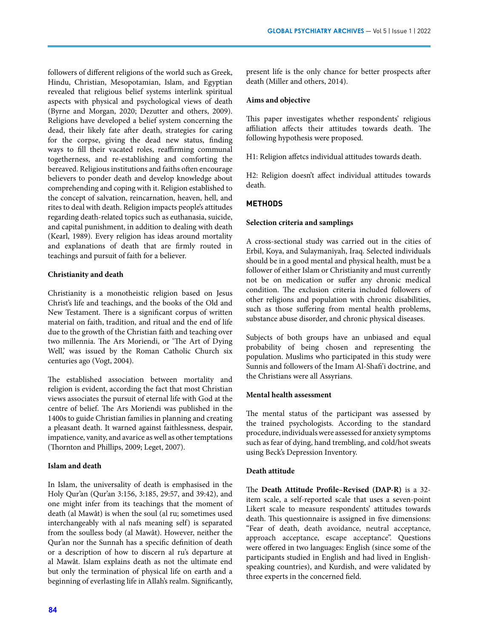followers of different religions of the world such as Greek, Hindu, Christian, Mesopotamian, Islam, and Egyptian revealed that religious belief systems interlink spiritual aspects with physical and psychological views of death (Byrne and Morgan, 2020; Dezutter and others, 2009). Religions have developed a belief system concerning the dead, their likely fate after death, strategies for caring for the corpse, giving the dead new status, finding ways to fill their vacated roles, reaffirming communal togetherness, and re-establishing and comforting the bereaved. Religious institutions and faiths often encourage believers to ponder death and develop knowledge about comprehending and coping with it. Religion established to the concept of salvation, reincarnation, heaven, hell, and rites to deal with death. Religion impacts people's attitudes regarding death-related topics such as euthanasia, suicide, and capital punishment, in addition to dealing with death (Kearl, 1989). Every religion has ideas around mortality and explanations of death that are firmly routed in teachings and pursuit of faith for a believer.

# **Christianity and death**

Christianity is a monotheistic religion based on Jesus Christ's life and teachings, and the books of the Old and New Testament. There is a significant corpus of written material on faith, tradition, and ritual and the end of life due to the growth of the Christian faith and teaching over two millennia. The Ars Moriendi, or 'The Art of Dying Well,' was issued by the Roman Catholic Church six centuries ago (Vogt, 2004).

The established association between mortality and religion is evident, according the fact that most Christian views associates the pursuit of eternal life with God at the centre of belief. The Ars Moriendi was published in the 1400s to guide Christian families in planning and creating a pleasant death. It warned against faithlessness, despair, impatience, vanity, and avarice as well as other temptations (Thornton and Phillips, 2009; Leget, 2007).

# **Islam and death**

In Islam, the universality of death is emphasised in the Holy Qur'an (Qur'an 3:156, 3:185, 29:57, and 39:42), and one might infer from its teachings that the moment of death (al Mawât) is when the soul (al ru; sometimes used interchangeably with al nafs meaning self) is separated from the soulless body (al Mawât). However, neither the Qur'an nor the Sunnah has a specific definition of death or a description of how to discern al ru's departure at al Mawât. Islam explains death as not the ultimate end but only the termination of physical life on earth and a beginning of everlasting life in Allah's realm. Significantly,

## **Aims and objective**

This paper investigates whether respondents' religious affiliation affects their attitudes towards death. The following hypothesis were proposed.

H1: Religion affetcs individual attitudes towards death.

H2: Religion doesn't affect individual attitudes towards death.

# **METHODS**

## **Selection criteria and samplings**

A cross-sectional study was carried out in the cities of Erbil, Koya, and Sulaymaniyah, Iraq. Selected individuals should be in a good mental and physical health, must be a follower of either Islam or Christianity and must currently not be on medication or suffer any chronic medical condition. The exclusion criteria included followers of other religions and population with chronic disabilities, such as those suffering from mental health problems, substance abuse disorder, and chronic physical diseases.

Subjects of both groups have an unbiased and equal probability of being chosen and representing the population. Muslims who participated in this study were Sunnis and followers of the Imam Al-Shafi'i doctrine, and the Christians were all Assyrians.

#### **Mental health assessment**

The mental status of the participant was assessed by the trained psychologists. According to the standard procedure, individuals were assessed for anxiety symptoms such as fear of dying, hand trembling, and cold/hot sweats using Beck's Depression Inventory.

# **Death attitude**

The **Death Attitude Profile–Revised (DAP-R)** is a 32 item scale, a self-reported scale that uses a seven-point Likert scale to measure respondents' attitudes towards death. This questionnaire is assigned in five dimensions: "Fear of death, death avoidance, neutral acceptance, approach acceptance, escape acceptance". Questions were offered in two languages: English (since some of the participants studied in English and had lived in Englishspeaking countries), and Kurdish, and were validated by three experts in the concerned field.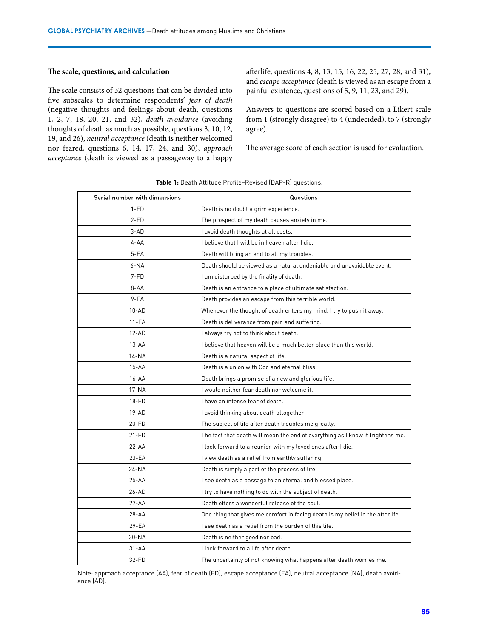#### **The scale, questions, and calculation**

The scale consists of 32 questions that can be divided into five subscales to determine respondents' *fear of death* (negative thoughts and feelings about death, questions 1, 2, 7, 18, 20, 21, and 32), *death avoidance* (avoiding thoughts of death as much as possible, questions 3, 10, 12, 19, and 26), *neutral acceptance* (death is neither welcomed nor feared, questions 6, 14, 17, 24, and 30), *approach acceptance* (death is viewed as a passageway to a happy afterlife, questions 4, 8, 13, 15, 16, 22, 25, 27, 28, and 31), and *escape acceptance* (death is viewed as an escape from a painful existence, questions of 5, 9, 11, 23, and 29).

Answers to questions are scored based on a Likert scale from 1 (strongly disagree) to 4 (undecided), to 7 (strongly agree).

The average score of each section is used for evaluation.

| Serial number with dimensions | Questions                                                                      |  |  |
|-------------------------------|--------------------------------------------------------------------------------|--|--|
| $1-FD$                        | Death is no doubt a grim experience.                                           |  |  |
| $2-FD$                        | The prospect of my death causes anxiety in me.                                 |  |  |
| $3-AD$                        | I avoid death thoughts at all costs.                                           |  |  |
| $4 - AA$                      | I believe that I will be in heaven after I die.                                |  |  |
| $5 - EA$                      | Death will bring an end to all my troubles.                                    |  |  |
| $6 - NA$                      | Death should be viewed as a natural undeniable and unavoidable event.          |  |  |
| $7-FD$                        | I am disturbed by the finality of death.                                       |  |  |
| $8 - AA$                      | Death is an entrance to a place of ultimate satisfaction.                      |  |  |
| $9 - EA$                      | Death provides an escape from this terrible world.                             |  |  |
| $10 - AD$                     | Whenever the thought of death enters my mind, I try to push it away.           |  |  |
| 11-EA                         | Death is deliverance from pain and suffering.                                  |  |  |
| $12 - AD$                     | I always try not to think about death.                                         |  |  |
| $13 - AA$                     | I believe that heaven will be a much better place than this world.             |  |  |
| $14 - NA$                     | Death is a natural aspect of life.                                             |  |  |
| $15 - AA$                     | Death is a union with God and eternal bliss.                                   |  |  |
| $16 - AA$                     | Death brings a promise of a new and glorious life.                             |  |  |
| $17 - NA$                     | I would neither fear death nor welcome it.                                     |  |  |
| $18-FD$                       | I have an intense fear of death.                                               |  |  |
| $19 - AD$                     | I avoid thinking about death altogether.                                       |  |  |
| 20-FD                         | The subject of life after death troubles me greatly.                           |  |  |
| $21-FD$                       | The fact that death will mean the end of everything as I know it frightens me. |  |  |
| $22 - AA$                     | I look forward to a reunion with my loved ones after I die.                    |  |  |
| $23 - EA$                     | I view death as a relief from earthly suffering.                               |  |  |
| 24-NA                         | Death is simply a part of the process of life.                                 |  |  |
| $25 - AA$                     | I see death as a passage to an eternal and blessed place.                      |  |  |
| 26-AD                         | I try to have nothing to do with the subject of death.                         |  |  |
| $27 - AA$                     | Death offers a wonderful release of the soul.                                  |  |  |
| $28 - AA$                     | One thing that gives me comfort in facing death is my belief in the afterlife. |  |  |
| $29 - EA$                     | I see death as a relief from the burden of this life.                          |  |  |
| 30-NA                         | Death is neither good nor bad.                                                 |  |  |
| $31 - AA$                     | I look forward to a life after death.                                          |  |  |
| 32-FD                         | The uncertainty of not knowing what happens after death worries me.            |  |  |

Note: approach acceptance (AA), fear of death (FD), escape acceptance (EA), neutral acceptance (NA), death avoidance (AD).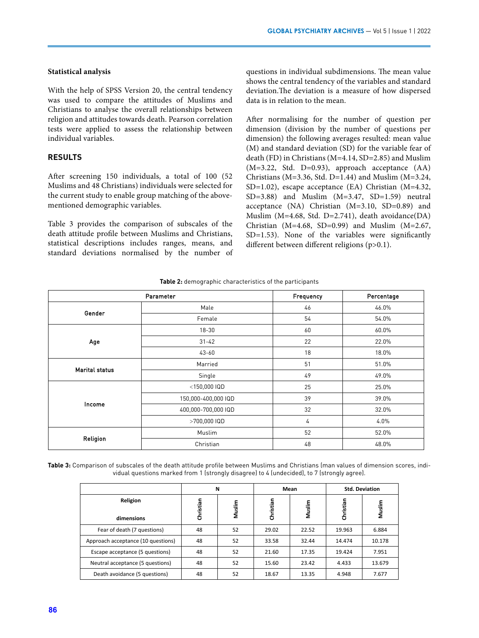#### **Statistical analysis**

With the help of SPSS Version 20, the central tendency was used to compare the attitudes of Muslims and Christians to analyse the overall relationships between religion and attitudes towards death. Pearson correlation tests were applied to assess the relationship between individual variables.

## **RESULTS**

After screening 150 individuals, a total of 100 (52 Muslims and 48 Christians) individuals were selected for the current study to enable group matching of the abovementioned demographic variables.

Table 3 provides the comparison of subscales of the death attitude profile between Muslims and Christians, statistical descriptions includes ranges, means, and standard deviations normalised by the number of questions in individual subdimensions. The mean value shows the central tendency of the variables and standard deviation.The deviation is a measure of how dispersed data is in relation to the mean.

After normalising for the number of question per dimension (division by the number of questions per dimension) the following averages resulted: mean value (M) and standard deviation (SD) for the variable fear of death (FD) in Christians (M=4.14, SD=2.85) and Muslim  $(M=3.22, Std. D=0.93)$ , approach acceptance  $(AA)$ Christians ( $M=3.36$ , Std. D=1.44) and Muslim ( $M=3.24$ , SD=1.02), escape acceptance (EA) Christian (M=4.32,  $SD=3.88$ ) and Muslim  $(M=3.47, SD=1.59)$  neutral acceptance (NA) Christian (M=3.10, SD=0.89) and Muslim (M=4.68, Std. D=2.741), death avoidance(DA) Christian  $(M=4.68, SD=0.99)$  and Muslim  $(M=2.67,$ SD=1.53). None of the variables were significantly different between different religions (p>0.1).

|                       | Parameter           | Frequency                                                  | Percentage |
|-----------------------|---------------------|------------------------------------------------------------|------------|
| Gender                | Male                | 46                                                         | 46.0%      |
|                       | Female              | 54                                                         | 54.0%      |
|                       | $18 - 30$           | 60                                                         | 60.0%      |
| Age                   | $31 - 42$           | 22                                                         | 22.0%      |
|                       | $43 - 60$           | 18                                                         | 18.0%      |
| <b>Marital status</b> | Married             | 51                                                         | 51.0%      |
|                       | Single              | 49                                                         | 49.0%      |
|                       | $<$ 150,000 IQD     | 25                                                         | 25.0%      |
|                       | 150,000-400,000 IQD | 39                                                         | 39.0%      |
| Income                | 400,000-700,000 IQD | 32<br>>700,000 IQD<br>4<br>52<br>Muslim<br>48<br>Christian | 32.0%      |
|                       |                     |                                                            | 4.0%       |
|                       |                     |                                                            | 52.0%      |
| Religion              |                     |                                                            | 48.0%      |

**Table 2:** demographic characteristics of the participants

**Table 3:** Comparison of subscales of the death attitude profile between Muslims and Christians (man values of dimension scores, individual questions marked from 1 (strongly disagree) to 4 (undecided), to 7 (strongly agree).

|                                    | N         |        | Mean      |        | <b>Std. Deviation</b> |        |
|------------------------------------|-----------|--------|-----------|--------|-----------------------|--------|
| Religion                           | Christian | Muslim | Christian | Muslim | Christian             | Muslim |
| dimensions                         |           |        |           |        |                       |        |
| Fear of death (7 questions)        | 48        | 52     | 29.02     | 22.52  | 19.963                | 6.884  |
| Approach acceptance (10 questions) | 48        | 52     | 33.58     | 32.44  | 14.474                | 10.178 |
| Escape acceptance (5 questions)    | 48        | 52     | 21.60     | 17.35  | 19.424                | 7.951  |
| Neutral acceptance (5 questions)   | 48        | 52     | 15.60     | 23.42  | 4.433                 | 13.679 |
| Death avoidance (5 questions)      | 48        | 52     | 18.67     | 13.35  | 4.948                 | 7.677  |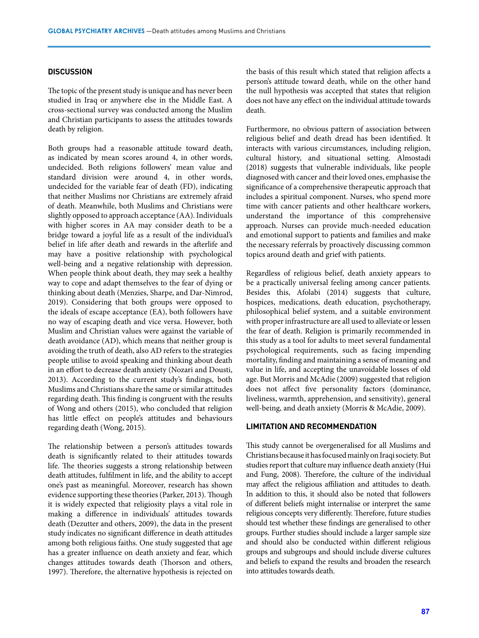#### **DISCUSSION**

The topic of the present study is unique and has never been studied in Iraq or anywhere else in the Middle East. A cross-sectional survey was conducted among the Muslim and Christian participants to assess the attitudes towards death by religion.

Both groups had a reasonable attitude toward death, as indicated by mean scores around 4, in other words, undecided. Both religions followers' mean value and standard division were around 4, in other words, undecided for the variable fear of death (FD), indicating that neither Muslims nor Christians are extremely afraid of death. Meanwhile, both Muslims and Christians were slightly opposed to approach acceptance (AA). Individuals with higher scores in AA may consider death to be a bridge toward a joyful life as a result of the individual's belief in life after death and rewards in the afterlife and may have a positive relationship with psychological well-being and a negative relationship with depression. When people think about death, they may seek a healthy way to cope and adapt themselves to the fear of dying or thinking about death (Menzies, Sharpe, and Dar-Nimrod, 2019). Considering that both groups were opposed to the ideals of escape acceptance (EA), both followers have no way of escaping death and vice versa. However, both Muslim and Christian values were against the variable of death avoidance (AD), which means that neither group is avoiding the truth of death, also AD refers to the strategies people utilise to avoid speaking and thinking about death in an effort to decrease death anxiety (Nozari and Dousti, 2013). According to the current study's findings, both Muslims and Christians share the same or similar attitudes regarding death. This finding is congruent with the results of Wong and others (2015), who concluded that religion has little effect on people's attitudes and behaviours regarding death (Wong, 2015).

The relationship between a person's attitudes towards death is significantly related to their attitudes towards life. The theories suggests a strong relationship between death attitudes, fulfilment in life, and the ability to accept one's past as meaningful. Moreover, research has shown evidence supporting these theories (Parker, 2013). Though it is widely expected that religiosity plays a vital role in making a difference in individuals' attitudes towards death (Dezutter and others, 2009), the data in the present study indicates no significant difference in death attitudes among both religious faiths. One study suggested that age has a greater influence on death anxiety and fear, which changes attitudes towards death (Thorson and others, 1997). Therefore, the alternative hypothesis is rejected on

the basis of this result which stated that religion affects a person's attitude toward death, while on the other hand the null hypothesis was accepted that states that religion does not have any effect on the individual attitude towards death.

Furthermore, no obvious pattern of association between religious belief and death dread has been identified. It interacts with various circumstances, including religion, cultural history, and situational setting. Almostadi (2018) suggests that vulnerable individuals, like people diagnosed with cancer and their loved ones, emphasise the significance of a comprehensive therapeutic approach that includes a spiritual component. Nurses, who spend more time with cancer patients and other healthcare workers, understand the importance of this comprehensive approach. Nurses can provide much-needed education and emotional support to patients and families and make the necessary referrals by proactively discussing common topics around death and grief with patients.

Regardless of religious belief, death anxiety appears to be a practically universal feeling among cancer patients. Besides this, Afolabi (2014) suggests that culture, hospices, medications, death education, psychotherapy, philosophical belief system, and a suitable environment with proper infrastructure are all used to alleviate or lessen the fear of death. Religion is primarily recommended in this study as a tool for adults to meet several fundamental psychological requirements, such as facing impending mortality, finding and maintaining a sense of meaning and value in life, and accepting the unavoidable losses of old age. But Morris and McAdie (2009) suggested that religion does not affect five personality factors (dominance, liveliness, warmth, apprehension, and sensitivity), general well-being, and death anxiety (Morris & McAdie, 2009).

### **LIMITATION AND RECOMMENDATION**

This study cannot be overgeneralised for all Muslims and Christians because it has focused mainly on Iraqi society. But studies report that culture may influence death anxiety (Hui and Fung, 2008). Therefore, the culture of the individual may affect the religious affiliation and attitudes to death. In addition to this, it should also be noted that followers of different beliefs might internalise or interpret the same religious concepts very differently. Therefore, future studies should test whether these findings are generalised to other groups. Further studies should include a larger sample size and should also be conducted within different religious groups and subgroups and should include diverse cultures and beliefs to expand the results and broaden the research into attitudes towards death.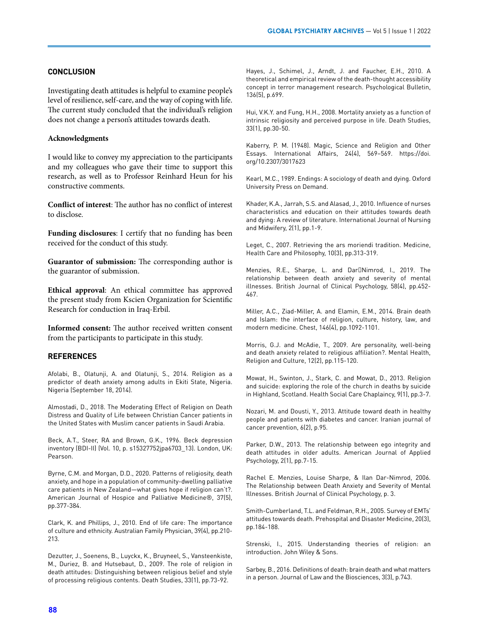# **CONCLUSION**

Investigating death attitudes is helpful to examine people's level of resilience, self-care, and the way of coping with life. The current study concluded that the individual's religion does not change a person's attitudes towards death.

#### **Acknowledgments**

I would like to convey my appreciation to the participants and my colleagues who gave their time to support this research, as well as to Professor Reinhard Heun for his constructive comments.

**Conflict of interest**: The author has no conflict of interest to disclose.

**Funding disclosures**: I certify that no funding has been received for the conduct of this study.

**Guarantor of submission:** The corresponding author is the guarantor of submission.

**Ethical approval**: An ethical committee has approved the present study from Kscien Organization for Scientific Research for conduction in Iraq-Erbil.

**Informed consent:** The author received written consent from the participants to participate in this study.

#### **REFERENCES**

Afolabi, B., Olatunji, A. and Olatunji, S., 2014. Religion as a predictor of death anxiety among adults in Ekiti State, Nigeria. Nigeria (September 18, 2014).

Almostadi, D., 2018. The Moderating Effect of Religion on Death Distress and Quality of Life between Christian Cancer patients in the United States with Muslim cancer patients in Saudi Arabia.

Beck, A.T., Steer, RA and Brown, G.K., 1996. Beck depression inventory (BDI-II) (Vol. 10, p. s15327752jpa6703\_13). London, UK: Pearson.

Byrne, C.M. and Morgan, D.D., 2020. Patterns of religiosity, death anxiety, and hope in a population of community-dwelling palliative care patients in New Zealand—what gives hope if religion can't?. American Journal of Hospice and Palliative Medicine®, 37(5), pp.377-384.

Clark, K. and Phillips, J., 2010. End of life care: The importance of culture and ethnicity. Australian Family Physician, 39(4), pp.210- 213.

Dezutter, J., Soenens, B., Luyckx, K., Bruyneel, S., Vansteenkiste, M., Duriez, B. and Hutsebaut, D., 2009. The role of religion in death attitudes: Distinguishing between religious belief and style of processing religious contents. Death Studies, 33(1), pp.73-92.

Hayes, J., Schimel, J., Arndt, J. and Faucher, E.H., 2010. A theoretical and empirical review of the death-thought accessibility concept in terror management research. Psychological Bulletin, 136(5), p.699.

Hui, V.K.Y. and Fung, H.H., 2008. Mortality anxiety as a function of intrinsic religiosity and perceived purpose in life. Death Studies, 33(1), pp.30-50.

Kaberry, P. M. (1948). Magic, Science and Religion and Other Essays. International Affairs, 24(4), 569–569. https://doi. org/10.2307/3017623

Kearl, M.C., 1989. Endings: A sociology of death and dying. Oxford University Press on Demand.

Khader, K.A., Jarrah, S.S. and Alasad, J., 2010. Influence of nurses characteristics and education on their attitudes towards death and dying: A review of literature. International Journal of Nursing and Midwifery, 2(1), pp.1-9.

Leget, C., 2007. Retrieving the ars moriendi tradition. Medicine, Health Care and Philosophy, 10(3), pp.313-319.

Menzies, R.E., Sharpe, L. and Dar Nimrod, I., 2019. The relationship between death anxiety and severity of mental illnesses. British Journal of Clinical Psychology, 58(4), pp.452- 467.

Miller, A.C., Ziad-Miller, A. and Elamin, E.M., 2014. Brain death and Islam: the interface of religion, culture, history, law, and modern medicine. Chest, 146(4), pp.1092-1101.

Morris, G.J. and McAdie, T., 2009. Are personality, well-being and death anxiety related to religious affiliation?. Mental Health, Religion and Culture, 12(2), pp.115-120.

Mowat, H., Swinton, J., Stark, C. and Mowat, D., 2013. Religion and suicide: exploring the role of the church in deaths by suicide in Highland, Scotland. Health Social Care Chaplaincy, 9(1), pp.3-7.

Nozari, M. and Dousti, Y., 2013. Attitude toward death in healthy people and patients with diabetes and cancer. Iranian journal of cancer prevention, 6(2), p.95.

Parker, D.W., 2013. The relationship between ego integrity and death attitudes in older adults. American Journal of Applied Psychology, 2(1), pp.7-15.

Rachel E. Menzies, Louise Sharpe, & Ilan Dar-Nimrod, 2006. The Relationship between Death Anxiety and Severity of Mental Illnesses. British Journal of Clinical Psychology, p. 3.

Smith-Cumberland, T.L. and Feldman, R.H., 2005. Survey of EMTs' attitudes towards death. Prehospital and Disaster Medicine, 20(3), pp.184-188.

Strenski, I., 2015. Understanding theories of religion: an introduction. John Wiley & Sons.

Sarbey, B., 2016. Definitions of death: brain death and what matters in a person. Journal of Law and the Biosciences, 3(3), p.743.